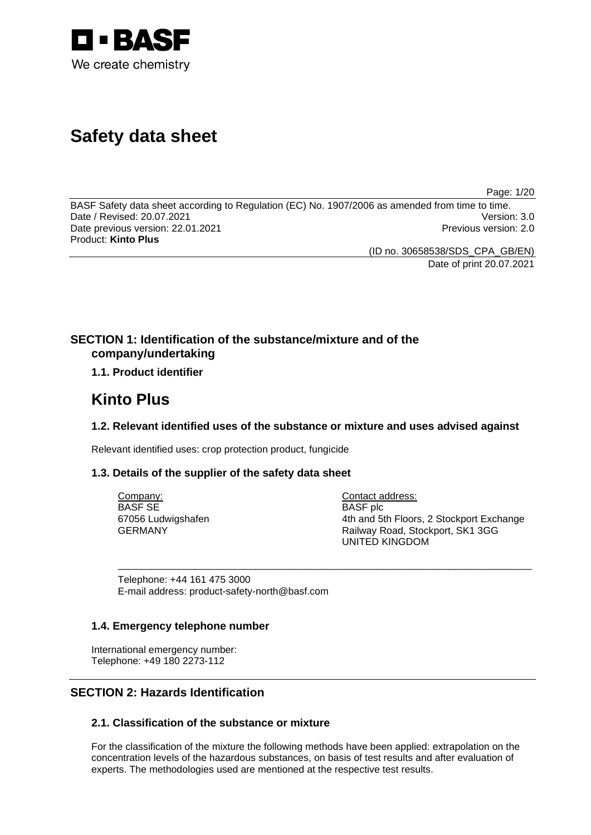

# **Safety data sheet**

Page: 1/20

BASF Safety data sheet according to Regulation (EC) No. 1907/2006 as amended from time to time. Date / Revised: 20.07.2021 Version: 3.0 Date previous version: 22.01.2021 **Previous version: 2.0** Previous version: 2.0 Product: **Kinto Plus** 

(ID no. 30658538/SDS\_CPA\_GB/EN)

Date of print 20.07.2021

# **SECTION 1: Identification of the substance/mixture and of the company/undertaking**

# **1.1. Product identifier**

# **Kinto Plus**

# **1.2. Relevant identified uses of the substance or mixture and uses advised against**

\_\_\_\_\_\_\_\_\_\_\_\_\_\_\_\_\_\_\_\_\_\_\_\_\_\_\_\_\_\_\_\_\_\_\_\_\_\_\_\_\_\_\_\_\_\_\_\_\_\_\_\_\_\_\_\_\_\_\_\_\_\_\_\_\_\_\_\_\_\_\_\_\_\_\_

Relevant identified uses: crop protection product, fungicide

# **1.3. Details of the supplier of the safety data sheet**

Company: BASF SE 67056 Ludwigshafen GERMANY

Contact address: BASF plc 4th and 5th Floors, 2 Stockport Exchange Railway Road, Stockport, SK1 3GG UNITED KINGDOM

Telephone: +44 161 475 3000 E-mail address: product-safety-north@basf.com

# **1.4. Emergency telephone number**

International emergency number: Telephone: +49 180 2273-112

# **SECTION 2: Hazards Identification**

# **2.1. Classification of the substance or mixture**

For the classification of the mixture the following methods have been applied: extrapolation on the concentration levels of the hazardous substances, on basis of test results and after evaluation of experts. The methodologies used are mentioned at the respective test results.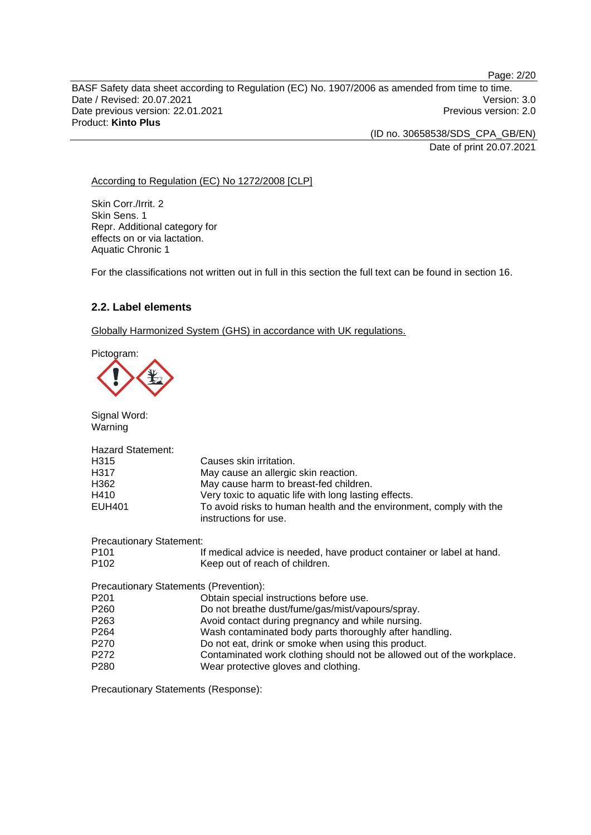Page: 2/20 BASF Safety data sheet according to Regulation (EC) No. 1907/2006 as amended from time to time. Date / Revised: 20.07.2021 Version: 3.0 Date previous version: 22.01.2021 **Previous version: 2.0** Previous version: 2.0 Product: **Kinto Plus** 

> (ID no. 30658538/SDS\_CPA\_GB/EN) Date of print 20.07.2021

According to Regulation (EC) No 1272/2008 [CLP]

Skin Corr./Irrit. 2 Skin Sens. 1 Repr. Additional category for effects on or via lactation. Aquatic Chronic 1

For the classifications not written out in full in this section the full text can be found in section 16.

### **2.2. Label elements**

Globally Harmonized System (GHS) in accordance with UK regulations.

Pictogram:



Signal Word: Warning

| <b>Hazard Statement:</b>               |                                                                                              |
|----------------------------------------|----------------------------------------------------------------------------------------------|
| H <sub>3</sub> 15                      | Causes skin irritation.                                                                      |
| H317                                   | May cause an allergic skin reaction.                                                         |
| H362                                   | May cause harm to breast-fed children.                                                       |
| H410                                   | Very toxic to aquatic life with long lasting effects.                                        |
| <b>EUH401</b>                          | To avoid risks to human health and the environment, comply with the<br>instructions for use. |
| <b>Precautionary Statement:</b>        |                                                                                              |
| P <sub>101</sub>                       | If medical advice is needed, have product container or label at hand.                        |
| P <sub>102</sub>                       | Keep out of reach of children.                                                               |
| Precautionary Statements (Prevention): |                                                                                              |
| P <sub>201</sub>                       | Obtain special instructions before use.                                                      |
| P <sub>260</sub>                       | Do not breathe dust/fume/gas/mist/vapours/spray.                                             |
| P <sub>263</sub>                       | Avoid contact during pregnancy and while nursing.                                            |
| P <sub>264</sub>                       | Wash contaminated body parts thoroughly after handling.                                      |
| P <sub>270</sub>                       | Do not eat, drink or smoke when using this product.                                          |
| P <sub>272</sub>                       | Contaminated work clothing should not be allowed out of the workplace.                       |
| P <sub>280</sub>                       | Wear protective gloves and clothing.                                                         |

Precautionary Statements (Response):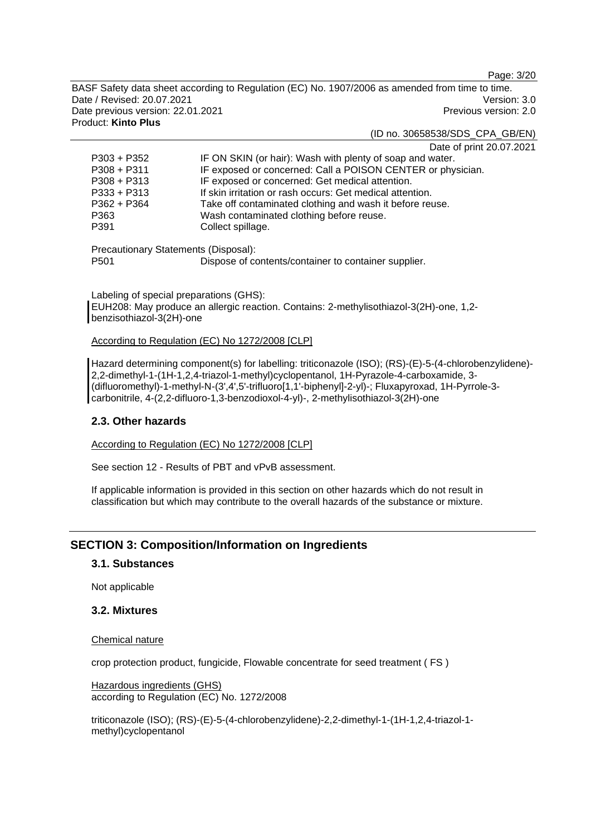Page: 3/20

BASF Safety data sheet according to Regulation (EC) No. 1907/2006 as amended from time to time. Date / Revised: 20.07.2021 Version: 3.0 Date previous version: 22.01.2021 **Previous version: 2.0** Previous version: 2.0 Product: **Kinto Plus** 

(ID no. 30658538/SDS\_CPA\_GB/EN)

Date of print 20.07.2021

| $P303 + P352$                        | IF ON SKIN (or hair): Wash with plenty of soap and water.   |
|--------------------------------------|-------------------------------------------------------------|
| $P308 + P311$                        | IF exposed or concerned: Call a POISON CENTER or physician. |
| $P308 + P313$                        | IF exposed or concerned: Get medical attention.             |
| $P333 + P313$                        | If skin irritation or rash occurs: Get medical attention.   |
| $P362 + P364$                        | Take off contaminated clothing and wash it before reuse.    |
| P363                                 | Wash contaminated clothing before reuse.                    |
| P391                                 | Collect spillage.                                           |
| Precautionary Statements (Disposal): |                                                             |
|                                      |                                                             |
| P <sub>501</sub>                     | Dispose of contents/container to container supplier.        |

Labeling of special preparations (GHS): EUH208: May produce an allergic reaction. Contains: 2-methylisothiazol-3(2H)-one, 1,2 benzisothiazol-3(2H)-one

According to Regulation (EC) No 1272/2008 [CLP]

Hazard determining component(s) for labelling: triticonazole (ISO); (RS)-(E)-5-(4-chlorobenzylidene)- 2,2-dimethyl-1-(1H-1,2,4-triazol-1-methyl)cyclopentanol, 1H-Pyrazole-4-carboxamide, 3- (difluoromethyl)-1-methyl-N-(3',4',5'-trifluoro[1,1'-biphenyl]-2-yl)-; Fluxapyroxad, 1H-Pyrrole-3 carbonitrile, 4-(2,2-difluoro-1,3-benzodioxol-4-yl)-, 2-methylisothiazol-3(2H)-one

### **2.3. Other hazards**

According to Regulation (EC) No 1272/2008 [CLP]

See section 12 - Results of PBT and vPvB assessment.

If applicable information is provided in this section on other hazards which do not result in classification but which may contribute to the overall hazards of the substance or mixture.

# **SECTION 3: Composition/Information on Ingredients**

### **3.1. Substances**

Not applicable

### **3.2. Mixtures**

#### Chemical nature

crop protection product, fungicide, Flowable concentrate for seed treatment ( FS )

Hazardous ingredients (GHS) according to Regulation (EC) No. 1272/2008

triticonazole (ISO); (RS)-(E)-5-(4-chlorobenzylidene)-2,2-dimethyl-1-(1H-1,2,4-triazol-1 methyl)cyclopentanol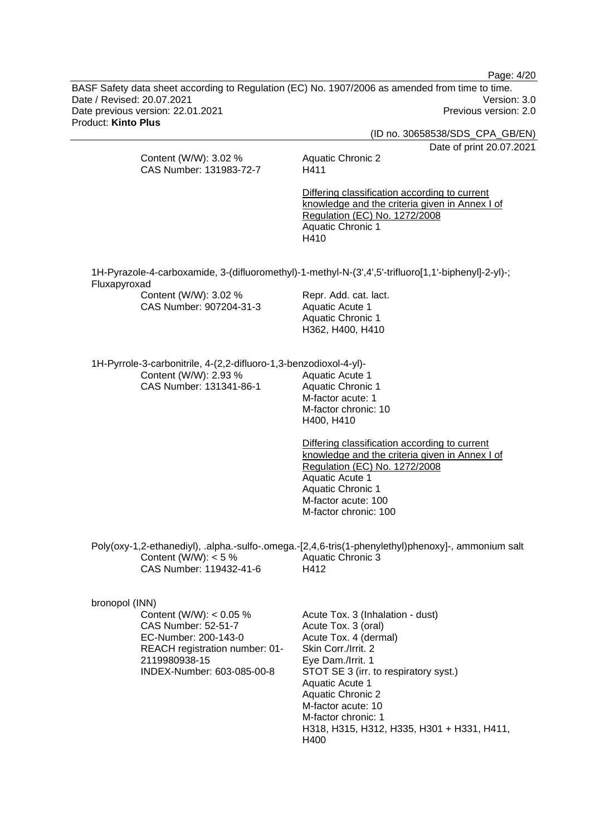Page: 4/20

BASF Safety data sheet according to Regulation (EC) No. 1907/2006 as amended from time to time. Date / Revised: 20.07.2021 Version: 3.0 Date previous version: 22.01.2021 **Previous version: 2.0** Previous version: 2.0 Product: **Kinto Plus** 

(ID no. 30658538/SDS\_CPA\_GB/EN) Date of print 20.07.2021 Content (W/W): 3.02 % CAS Number: 131983-72-7 Aquatic Chronic 2 H411 Differing classification according to current knowledge and the criteria given in Annex I of Regulation (EC) No. 1272/2008 Aquatic Chronic 1 H410 1H-Pyrazole-4-carboxamide, 3-(difluoromethyl)-1-methyl-N-(3',4',5'-trifluoro[1,1'-biphenyl]-2-yl)-; Fluxapyroxad Content (W/W): 3.02 % CAS Number: 907204-31-3 Repr. Add. cat. lact. Aquatic Acute 1 Aquatic Chronic 1 H362, H400, H410 1H-Pyrrole-3-carbonitrile, 4-(2,2-difluoro-1,3-benzodioxol-4-yl)- Content (W/W): 2.93 % CAS Number: 131341-86-1 Aquatic Acute 1 Aquatic Chronic 1 M-factor acute: 1 M-factor chronic: 10 H400, H410 Differing classification according to current knowledge and the criteria given in Annex I of Regulation (EC) No. 1272/2008 Aquatic Acute 1 Aquatic Chronic 1 M-factor acute: 100 M-factor chronic: 100 Poly(oxy-1,2-ethanediyl), .alpha.-sulfo-.omega.-[2,4,6-tris(1-phenylethyl)phenoxy]-, ammonium salt Content (W/W):  $< 5 \%$ CAS Number: 119432-41-6 Aquatic Chronic 3 H412 bronopol (INN) Content (W/W): < 0.05 % CAS Number: 52-51-7 EC-Number: 200-143-0 REACH registration number: 01- 2119980938-15 INDEX-Number: 603-085-00-8 Acute Tox. 3 (Inhalation - dust) Acute Tox. 3 (oral) Acute Tox. 4 (dermal) Skin Corr./Irrit. 2 Eye Dam./Irrit. 1 STOT SE 3 (irr. to respiratory syst.) Aquatic Acute 1 Aquatic Chronic 2 M-factor acute: 10 M-factor chronic: 1 H318, H315, H312, H335, H301 + H331, H411, H400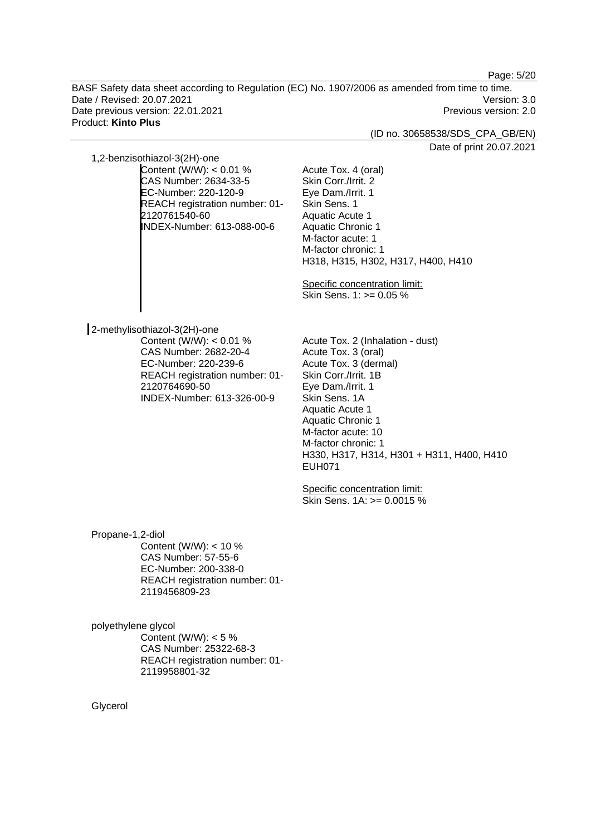Page: 5/20

BASF Safety data sheet according to Regulation (EC) No. 1907/2006 as amended from time to time. Date / Revised: 20.07.2021 Version: 3.0 Date previous version: 22.01.2021 **Previous version: 2.0** Previous version: 2.0 Product: **Kinto Plus** 

(ID no. 30658538/SDS\_CPA\_GB/EN)

Date of print 20.07.2021

1,2-benzisothiazol-3(2H)-one

Content (W/W): < 0.01 % CAS Number: 2634-33-5 EC-Number: 220-120-9 REACH registration number: 01- 2120761540-60 INDEX-Number: 613-088-00-6

Eye Dam./Irrit. 1 Skin Sens. 1 Aquatic Acute 1 Aquatic Chronic 1 M-factor acute: 1 M-factor chronic: 1 H318, H315, H302, H317, H400, H410

Specific concentration limit: Skin Sens. 1: >= 0.05 %

Acute Tox. 4 (oral) Skin Corr./Irrit. 2

2-methylisothiazol-3(2H)-one Content (W/W): < 0.01 % CAS Number: 2682-20-4 EC-Number: 220-239-6 REACH registration number: 01-

2120764690-50

INDEX-Number: 613-326-00-9

Acute Tox. 2 (Inhalation - dust) Acute Tox. 3 (oral) Acute Tox. 3 (dermal) Skin Corr./Irrit. 1B Eye Dam./Irrit. 1 Skin Sens. 1A Aquatic Acute 1 Aquatic Chronic 1 M-factor acute: 10 M-factor chronic: 1 H330, H317, H314, H301 + H311, H400, H410 EUH071

Specific concentration limit: Skin Sens. 1A: >= 0.0015 %

Propane-1,2-diol Content (W/W): < 10 % CAS Number: 57-55-6 EC-Number: 200-338-0 REACH registration number: 01- 2119456809-23

polyethylene glycol Content (W/W):  $< 5 \%$ CAS Number: 25322-68-3 REACH registration number: 01- 2119958801-32

Glycerol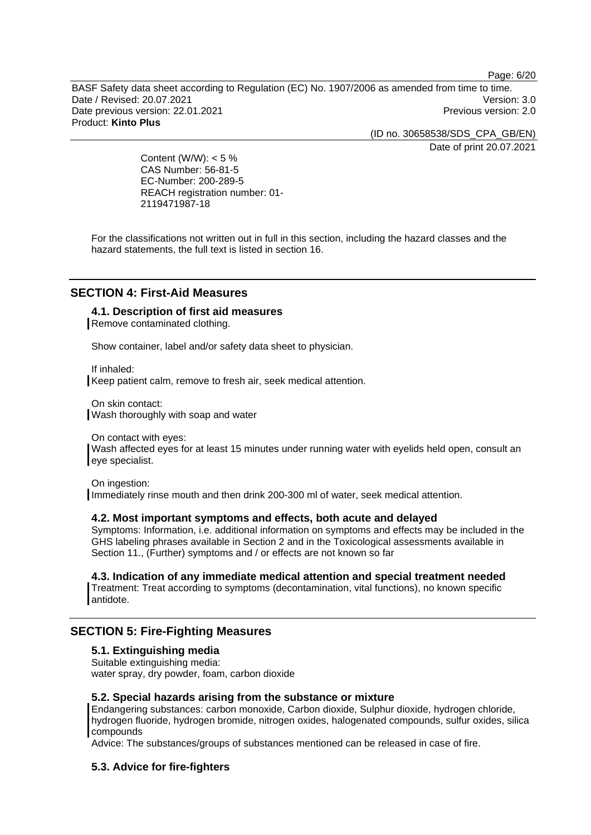Page: 6/20

BASF Safety data sheet according to Regulation (EC) No. 1907/2006 as amended from time to time. Date / Revised: 20.07.2021 Version: 3.0 Date previous version: 22.01.2021 **Previous version: 2.0** Previous version: 2.0 Product: **Kinto Plus** 

(ID no. 30658538/SDS\_CPA\_GB/EN)

Date of print 20.07.2021

Content (W/W):  $< 5 \%$ CAS Number: 56-81-5 EC-Number: 200-289-5 REACH registration number: 01- 2119471987-18

For the classifications not written out in full in this section, including the hazard classes and the hazard statements, the full text is listed in section 16.

### **SECTION 4: First-Aid Measures**

### **4.1. Description of first aid measures**

Remove contaminated clothing.

Show container, label and/or safety data sheet to physician.

If inhaled: Keep patient calm, remove to fresh air, seek medical attention.

On skin contact: Wash thoroughly with soap and water

On contact with eyes:

Wash affected eyes for at least 15 minutes under running water with eyelids held open, consult an eye specialist.

On ingestion:

Immediately rinse mouth and then drink 200-300 ml of water, seek medical attention.

#### **4.2. Most important symptoms and effects, both acute and delayed**

Symptoms: Information, i.e. additional information on symptoms and effects may be included in the GHS labeling phrases available in Section 2 and in the Toxicological assessments available in Section 11., (Further) symptoms and / or effects are not known so far

### **4.3. Indication of any immediate medical attention and special treatment needed**

Treatment: Treat according to symptoms (decontamination, vital functions), no known specific antidote.

# **SECTION 5: Fire-Fighting Measures**

### **5.1. Extinguishing media**

Suitable extinguishing media: water spray, dry powder, foam, carbon dioxide

### **5.2. Special hazards arising from the substance or mixture**

Endangering substances: carbon monoxide, Carbon dioxide, Sulphur dioxide, hydrogen chloride, hydrogen fluoride, hydrogen bromide, nitrogen oxides, halogenated compounds, sulfur oxides, silica compounds

Advice: The substances/groups of substances mentioned can be released in case of fire.

### **5.3. Advice for fire-fighters**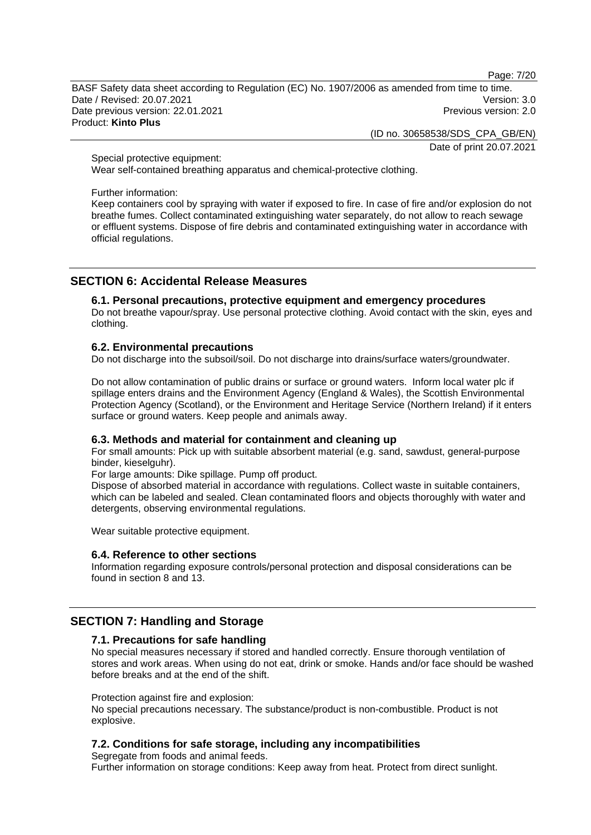Page: 7/20

BASF Safety data sheet according to Regulation (EC) No. 1907/2006 as amended from time to time. Date / Revised: 20.07.2021 Version: 3.0 Date previous version: 22.01.2021 **Date previous version: 2.0** Product: **Kinto Plus** 

(ID no. 30658538/SDS\_CPA\_GB/EN)

Date of print 20.07.2021

Special protective equipment:

Wear self-contained breathing apparatus and chemical-protective clothing.

#### Further information:

Keep containers cool by spraying with water if exposed to fire. In case of fire and/or explosion do not breathe fumes. Collect contaminated extinguishing water separately, do not allow to reach sewage or effluent systems. Dispose of fire debris and contaminated extinguishing water in accordance with official regulations.

# **SECTION 6: Accidental Release Measures**

### **6.1. Personal precautions, protective equipment and emergency procedures**

Do not breathe vapour/spray. Use personal protective clothing. Avoid contact with the skin, eyes and clothing.

### **6.2. Environmental precautions**

Do not discharge into the subsoil/soil. Do not discharge into drains/surface waters/groundwater.

Do not allow contamination of public drains or surface or ground waters. Inform local water plc if spillage enters drains and the Environment Agency (England & Wales), the Scottish Environmental Protection Agency (Scotland), or the Environment and Heritage Service (Northern Ireland) if it enters surface or ground waters. Keep people and animals away.

### **6.3. Methods and material for containment and cleaning up**

For small amounts: Pick up with suitable absorbent material (e.g. sand, sawdust, general-purpose binder, kieselguhr).

For large amounts: Dike spillage. Pump off product.

Dispose of absorbed material in accordance with regulations. Collect waste in suitable containers, which can be labeled and sealed. Clean contaminated floors and objects thoroughly with water and detergents, observing environmental regulations.

Wear suitable protective equipment.

#### **6.4. Reference to other sections**

Information regarding exposure controls/personal protection and disposal considerations can be found in section 8 and 13.

# **SECTION 7: Handling and Storage**

#### **7.1. Precautions for safe handling**

No special measures necessary if stored and handled correctly. Ensure thorough ventilation of stores and work areas. When using do not eat, drink or smoke. Hands and/or face should be washed before breaks and at the end of the shift.

#### Protection against fire and explosion:

No special precautions necessary. The substance/product is non-combustible. Product is not explosive.

### **7.2. Conditions for safe storage, including any incompatibilities**

Segregate from foods and animal feeds. Further information on storage conditions: Keep away from heat. Protect from direct sunlight.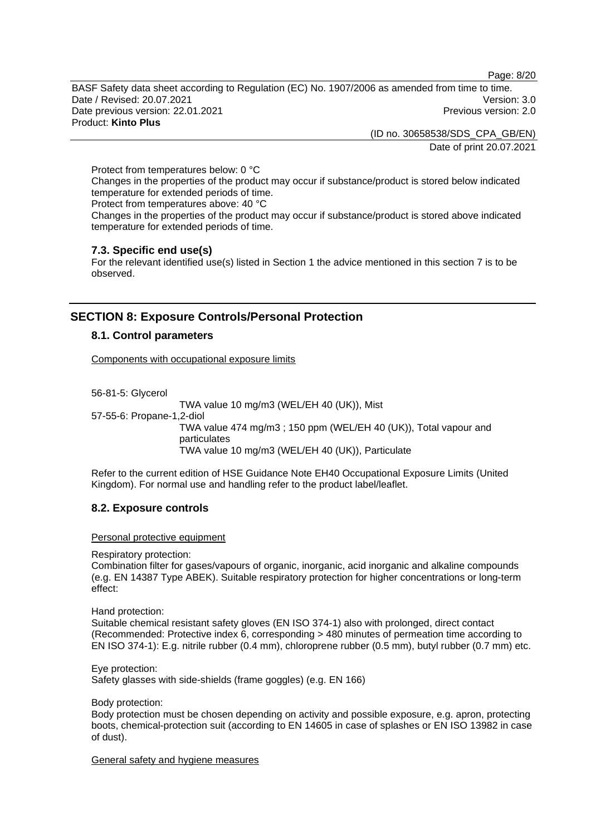Page: 8/20

BASF Safety data sheet according to Regulation (EC) No. 1907/2006 as amended from time to time. Date / Revised: 20.07.2021 Version: 3.0 Date previous version: 22.01.2021 **Previous version: 2.0** Previous version: 2.0 Product: **Kinto Plus** 

> (ID no. 30658538/SDS\_CPA\_GB/EN) Date of print 20.07.2021

Protect from temperatures below: 0 °C Changes in the properties of the product may occur if substance/product is stored below indicated temperature for extended periods of time. Protect from temperatures above: 40 °C

Changes in the properties of the product may occur if substance/product is stored above indicated temperature for extended periods of time.

### **7.3. Specific end use(s)**

For the relevant identified use(s) listed in Section 1 the advice mentioned in this section 7 is to be observed.

# **SECTION 8: Exposure Controls/Personal Protection**

### **8.1. Control parameters**

Components with occupational exposure limits

56-81-5: Glycerol

TWA value 10 mg/m3 (WEL/EH 40 (UK)), Mist 57-55-6: Propane-1,2-diol TWA value 474 mg/m3 ; 150 ppm (WEL/EH 40 (UK)), Total vapour and particulates TWA value 10 mg/m3 (WEL/EH 40 (UK)), Particulate

Refer to the current edition of HSE Guidance Note EH40 Occupational Exposure Limits (United Kingdom). For normal use and handling refer to the product label/leaflet.

#### **8.2. Exposure controls**

Personal protective equipment

Respiratory protection:

Combination filter for gases/vapours of organic, inorganic, acid inorganic and alkaline compounds (e.g. EN 14387 Type ABEK). Suitable respiratory protection for higher concentrations or long-term effect:

Hand protection:

Suitable chemical resistant safety gloves (EN ISO 374-1) also with prolonged, direct contact (Recommended: Protective index 6, corresponding > 480 minutes of permeation time according to EN ISO 374-1): E.g. nitrile rubber (0.4 mm), chloroprene rubber (0.5 mm), butyl rubber (0.7 mm) etc.

Eye protection: Safety glasses with side-shields (frame goggles) (e.g. EN 166)

Body protection:

Body protection must be chosen depending on activity and possible exposure, e.g. apron, protecting boots, chemical-protection suit (according to EN 14605 in case of splashes or EN ISO 13982 in case of dust).

General safety and hygiene measures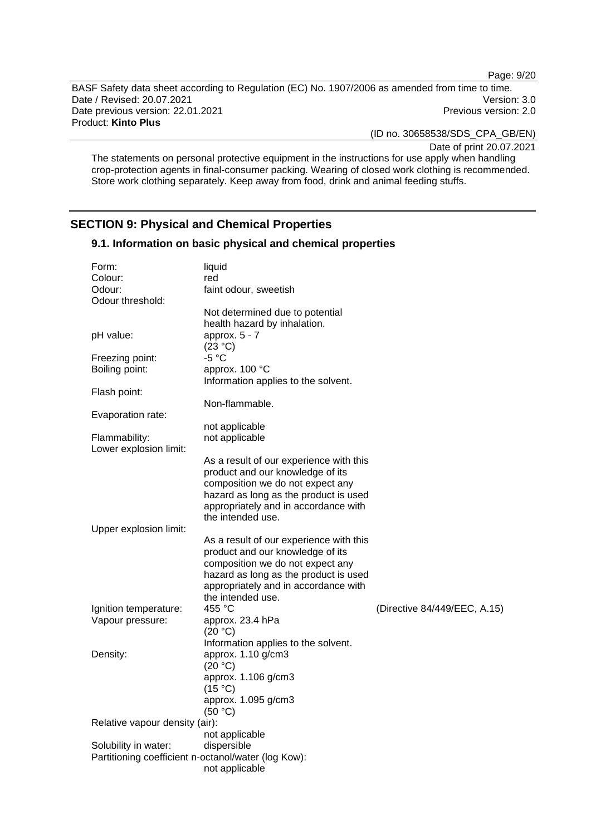Page: 9/20

BASF Safety data sheet according to Regulation (EC) No. 1907/2006 as amended from time to time. Date / Revised: 20.07.2021 Version: 3.0 Date previous version: 22.01.2021 **Previous version: 2.0** Previous version: 2.0 Product: **Kinto Plus** 

(ID no. 30658538/SDS\_CPA\_GB/EN)

Date of print 20.07.2021

The statements on personal protective equipment in the instructions for use apply when handling crop-protection agents in final-consumer packing. Wearing of closed work clothing is recommended. Store work clothing separately. Keep away from food, drink and animal feeding stuffs.

# **SECTION 9: Physical and Chemical Properties**

**9.1. Information on basic physical and chemical properties** 

| Form:<br>Colour:<br>Odour:<br>Odour threshold:      | liquid<br>red<br>faint odour, sweetish                                      |                              |
|-----------------------------------------------------|-----------------------------------------------------------------------------|------------------------------|
|                                                     | Not determined due to potential                                             |                              |
| pH value:                                           | health hazard by inhalation.<br>approx. $5 - 7$<br>(23 °C)                  |                              |
| Freezing point:                                     | $-5 °C$                                                                     |                              |
| Boiling point:                                      | approx. 100 °C<br>Information applies to the solvent.                       |                              |
| Flash point:                                        |                                                                             |                              |
| Evaporation rate:                                   | Non-flammable.                                                              |                              |
|                                                     | not applicable                                                              |                              |
| Flammability:<br>Lower explosion limit:             | not applicable                                                              |                              |
|                                                     | As a result of our experience with this                                     |                              |
|                                                     | product and our knowledge of its<br>composition we do not expect any        |                              |
|                                                     | hazard as long as the product is used                                       |                              |
|                                                     | appropriately and in accordance with                                        |                              |
|                                                     | the intended use.                                                           |                              |
| Upper explosion limit:                              |                                                                             |                              |
|                                                     | As a result of our experience with this<br>product and our knowledge of its |                              |
|                                                     | composition we do not expect any                                            |                              |
|                                                     | hazard as long as the product is used                                       |                              |
|                                                     | appropriately and in accordance with                                        |                              |
|                                                     | the intended use.                                                           |                              |
| Ignition temperature:                               | 455 °C                                                                      | (Directive 84/449/EEC, A.15) |
| Vapour pressure:                                    | approx. 23.4 hPa<br>(20 °C)                                                 |                              |
|                                                     | Information applies to the solvent.                                         |                              |
| Density:                                            | approx. 1.10 g/cm3<br>(20 °C)                                               |                              |
|                                                     | approx. 1.106 g/cm3<br>(15 °C)                                              |                              |
|                                                     | approx. 1.095 g/cm3<br>(50 °C)                                              |                              |
| Relative vapour density (air):                      |                                                                             |                              |
|                                                     | not applicable                                                              |                              |
| Solubility in water:                                | dispersible                                                                 |                              |
| Partitioning coefficient n-octanol/water (log Kow): | not applicable                                                              |                              |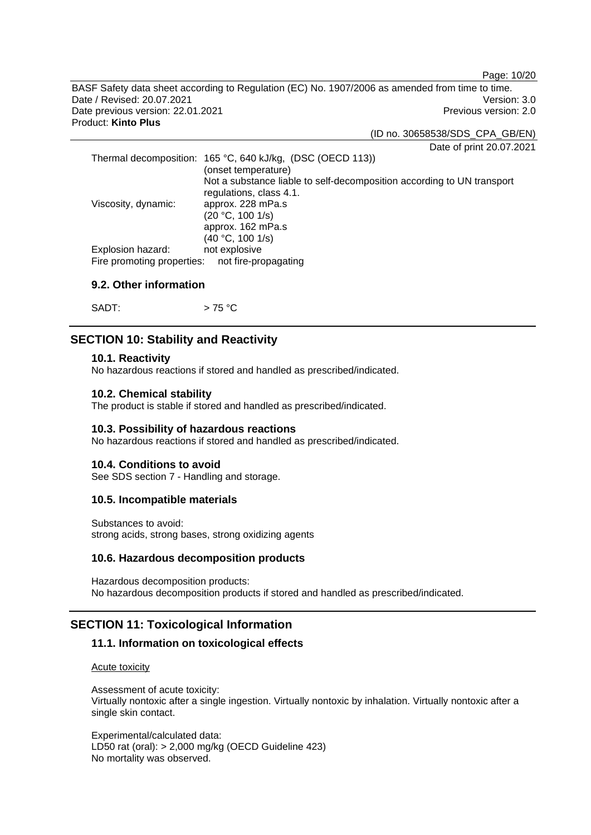Page: 10/20

BASF Safety data sheet according to Regulation (EC) No. 1907/2006 as amended from time to time. Date / Revised: 20.07.2021 Version: 3.0 Date previous version: 22.01.2021 **Previous version: 2.0** Previous version: 2.0 Product: **Kinto Plus** 

(ID no. 30658538/SDS\_CPA\_GB/EN)

Date of print 20.07.2021

|                                                 | Thermal decomposition: 165 °C, 640 kJ/kg, (DSC (OECD 113))             |
|-------------------------------------------------|------------------------------------------------------------------------|
|                                                 | (onset temperature)                                                    |
|                                                 | Not a substance liable to self-decomposition according to UN transport |
|                                                 | regulations, class 4.1.                                                |
| Viscosity, dynamic:                             | approx. 228 mPa.s                                                      |
|                                                 | (20 °C, 100 1/s)                                                       |
|                                                 | approx. 162 mPa.s                                                      |
|                                                 | (40 °C, 100 1/s)                                                       |
| Explosion hazard:                               | not explosive                                                          |
| Fire promoting properties: not fire-propagating |                                                                        |

### **9.2. Other information**

SADT:  $> 75 °C$ 

### **SECTION 10: Stability and Reactivity**

#### **10.1. Reactivity**

No hazardous reactions if stored and handled as prescribed/indicated.

#### **10.2. Chemical stability**

The product is stable if stored and handled as prescribed/indicated.

#### **10.3. Possibility of hazardous reactions**

No hazardous reactions if stored and handled as prescribed/indicated.

#### **10.4. Conditions to avoid**

See SDS section 7 - Handling and storage.

### **10.5. Incompatible materials**

Substances to avoid: strong acids, strong bases, strong oxidizing agents

#### **10.6. Hazardous decomposition products**

Hazardous decomposition products: No hazardous decomposition products if stored and handled as prescribed/indicated.

### **SECTION 11: Toxicological Information**

#### **11.1. Information on toxicological effects**

Acute toxicity

Assessment of acute toxicity: Virtually nontoxic after a single ingestion. Virtually nontoxic by inhalation. Virtually nontoxic after a single skin contact.

Experimental/calculated data: LD50 rat (oral): > 2,000 mg/kg (OECD Guideline 423) No mortality was observed.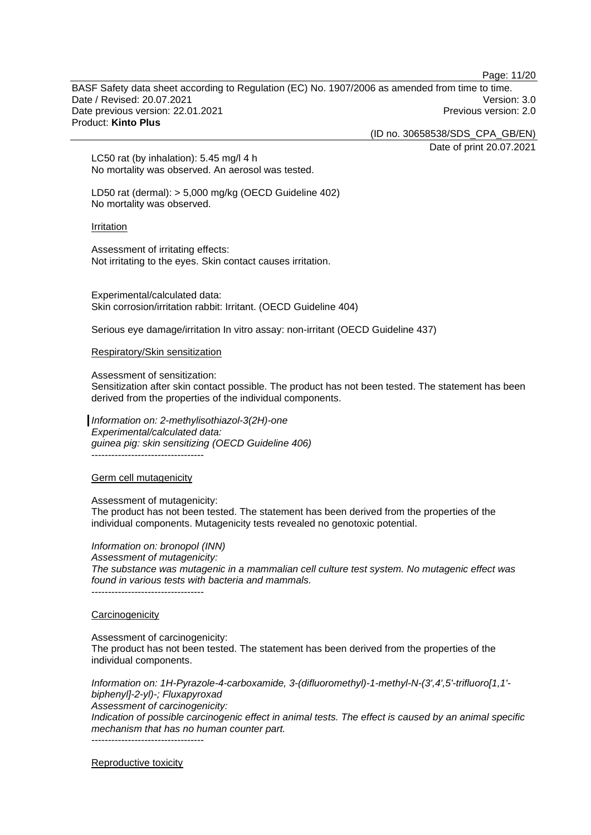Page: 11/20

BASF Safety data sheet according to Regulation (EC) No. 1907/2006 as amended from time to time. Date / Revised: 20.07.2021 Version: 3.0 Date previous version: 22.01.2021 **Previous version: 2.0** Previous version: 2.0 Product: **Kinto Plus** 

(ID no. 30658538/SDS\_CPA\_GB/EN)

Date of print 20.07.2021

LC50 rat (by inhalation): 5.45 mg/l 4 h No mortality was observed. An aerosol was tested.

LD50 rat (dermal): > 5,000 mg/kg (OECD Guideline 402) No mortality was observed.

Irritation

Assessment of irritating effects: Not irritating to the eyes. Skin contact causes irritation.

Experimental/calculated data: Skin corrosion/irritation rabbit: Irritant. (OECD Guideline 404)

Serious eye damage/irritation In vitro assay: non-irritant (OECD Guideline 437)

Respiratory/Skin sensitization

Assessment of sensitization:

Sensitization after skin contact possible. The product has not been tested. The statement has been derived from the properties of the individual components.

*Information on: 2-methylisothiazol-3(2H)-one Experimental/calculated data: guinea pig: skin sensitizing (OECD Guideline 406)* ----------------------------------

Germ cell mutagenicity

Assessment of mutagenicity:

The product has not been tested. The statement has been derived from the properties of the individual components. Mutagenicity tests revealed no genotoxic potential.

*Information on: bronopol (INN)*

*Assessment of mutagenicity:* 

*The substance was mutagenic in a mammalian cell culture test system. No mutagenic effect was found in various tests with bacteria and mammals.*  ----------------------------------

**Carcinogenicity** 

Assessment of carcinogenicity:

The product has not been tested. The statement has been derived from the properties of the individual components.

*Information on: 1H-Pyrazole-4-carboxamide, 3-(difluoromethyl)-1-methyl-N-(3',4',5'-trifluoro[1,1' biphenyl]-2-yl)-; Fluxapyroxad Assessment of carcinogenicity: Indication of possible carcinogenic effect in animal tests. The effect is caused by an animal specific mechanism that has no human counter part.* 

-----------------------------------

Reproductive toxicity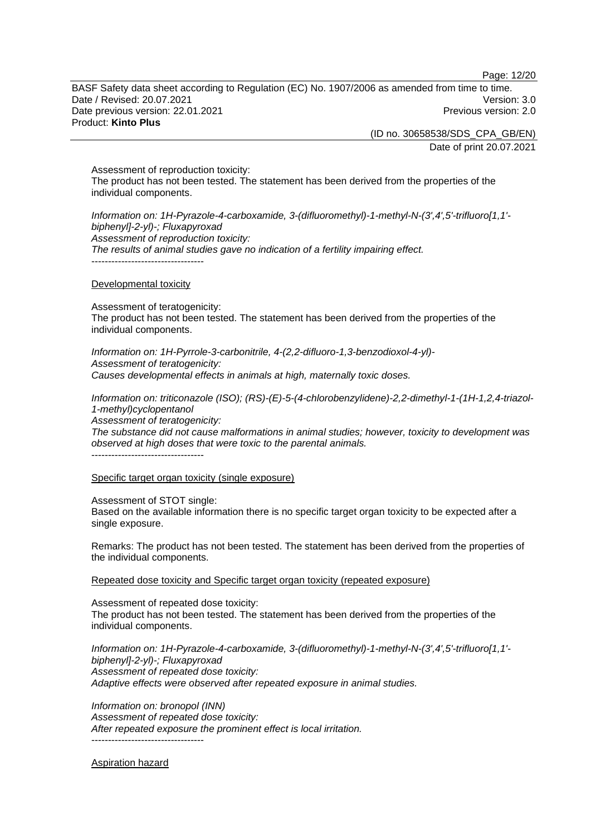Page: 12/20

BASF Safety data sheet according to Regulation (EC) No. 1907/2006 as amended from time to time. Date / Revised: 20.07.2021 Version: 3.0 Date previous version: 22.01.2021 **Date previous version: 2.0** Product: **Kinto Plus** 

(ID no. 30658538/SDS\_CPA\_GB/EN)

Date of print 20.07.2021

Assessment of reproduction toxicity: The product has not been tested. The statement has been derived from the properties of the individual components.

*Information on: 1H-Pyrazole-4-carboxamide, 3-(difluoromethyl)-1-methyl-N-(3',4',5'-trifluoro[1,1' biphenyl]-2-yl)-; Fluxapyroxad Assessment of reproduction toxicity: The results of animal studies gave no indication of a fertility impairing effect.* 

#### Developmental toxicity

Assessment of teratogenicity: The product has not been tested. The statement has been derived from the properties of the individual components.

*Information on: 1H-Pyrrole-3-carbonitrile, 4-(2,2-difluoro-1,3-benzodioxol-4-yl)- Assessment of teratogenicity: Causes developmental effects in animals at high, maternally toxic doses.* 

*Information on: triticonazole (ISO); (RS)-(E)-5-(4-chlorobenzylidene)-2,2-dimethyl-1-(1H-1,2,4-triazol-1-methyl)cyclopentanol*

*Assessment of teratogenicity:* 

*The substance did not cause malformations in animal studies; however, toxicity to development was observed at high doses that were toxic to the parental animals.* 

----------------------------------

Specific target organ toxicity (single exposure)

Assessment of STOT single:

Based on the available information there is no specific target organ toxicity to be expected after a single exposure.

Remarks: The product has not been tested. The statement has been derived from the properties of the individual components.

Repeated dose toxicity and Specific target organ toxicity (repeated exposure)

Assessment of repeated dose toxicity: The product has not been tested. The statement has been derived from the properties of the individual components.

*Information on: 1H-Pyrazole-4-carboxamide, 3-(difluoromethyl)-1-methyl-N-(3',4',5'-trifluoro[1,1' biphenyl]-2-yl)-; Fluxapyroxad Assessment of repeated dose toxicity: Adaptive effects were observed after repeated exposure in animal studies.* 

*Information on: bronopol (INN) Assessment of repeated dose toxicity: After repeated exposure the prominent effect is local irritation.*  -----------------------------------

Aspiration hazard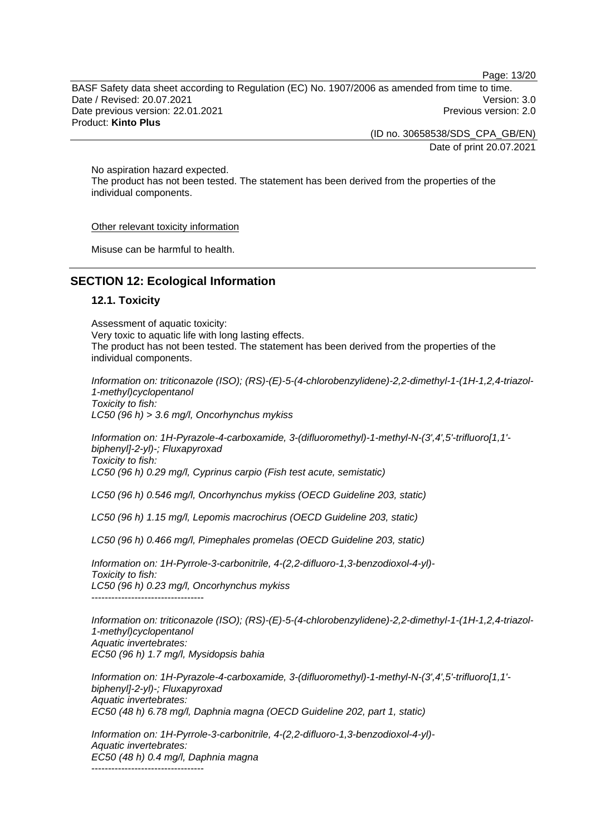Page: 13/20

BASF Safety data sheet according to Regulation (EC) No. 1907/2006 as amended from time to time. Date / Revised: 20.07.2021 Version: 3.0 Date previous version: 22.01.2021 **Previous version: 2.0** Previous version: 2.0 Product: **Kinto Plus** 

(ID no. 30658538/SDS\_CPA\_GB/EN)

Date of print 20.07.2021

No aspiration hazard expected.

The product has not been tested. The statement has been derived from the properties of the individual components.

Other relevant toxicity information

Misuse can be harmful to health.

# **SECTION 12: Ecological Information**

### **12.1. Toxicity**

Assessment of aquatic toxicity: Very toxic to aquatic life with long lasting effects. The product has not been tested. The statement has been derived from the properties of the individual components.

*Information on: triticonazole (ISO); (RS)-(E)-5-(4-chlorobenzylidene)-2,2-dimethyl-1-(1H-1,2,4-triazol-1-methyl)cyclopentanol Toxicity to fish: LC50 (96 h) > 3.6 mg/l, Oncorhynchus mykiss* 

*Information on: 1H-Pyrazole-4-carboxamide, 3-(difluoromethyl)-1-methyl-N-(3',4',5'-trifluoro[1,1' biphenyl]-2-yl)-; Fluxapyroxad Toxicity to fish: LC50 (96 h) 0.29 mg/l, Cyprinus carpio (Fish test acute, semistatic)* 

*LC50 (96 h) 0.546 mg/l, Oncorhynchus mykiss (OECD Guideline 203, static)* 

*LC50 (96 h) 1.15 mg/l, Lepomis macrochirus (OECD Guideline 203, static)* 

*LC50 (96 h) 0.466 mg/l, Pimephales promelas (OECD Guideline 203, static)* 

*Information on: 1H-Pyrrole-3-carbonitrile, 4-(2,2-difluoro-1,3-benzodioxol-4-yl)- Toxicity to fish: LC50 (96 h) 0.23 mg/l, Oncorhynchus mykiss*  ----------------------------------

*Information on: triticonazole (ISO); (RS)-(E)-5-(4-chlorobenzylidene)-2,2-dimethyl-1-(1H-1,2,4-triazol-1-methyl)cyclopentanol Aquatic invertebrates: EC50 (96 h) 1.7 mg/l, Mysidopsis bahia* 

*Information on: 1H-Pyrazole-4-carboxamide, 3-(difluoromethyl)-1-methyl-N-(3',4',5'-trifluoro[1,1' biphenyl]-2-yl)-; Fluxapyroxad Aquatic invertebrates: EC50 (48 h) 6.78 mg/l, Daphnia magna (OECD Guideline 202, part 1, static)* 

*Information on: 1H-Pyrrole-3-carbonitrile, 4-(2,2-difluoro-1,3-benzodioxol-4-yl)- Aquatic invertebrates: EC50 (48 h) 0.4 mg/l, Daphnia magna*  ----------------------------------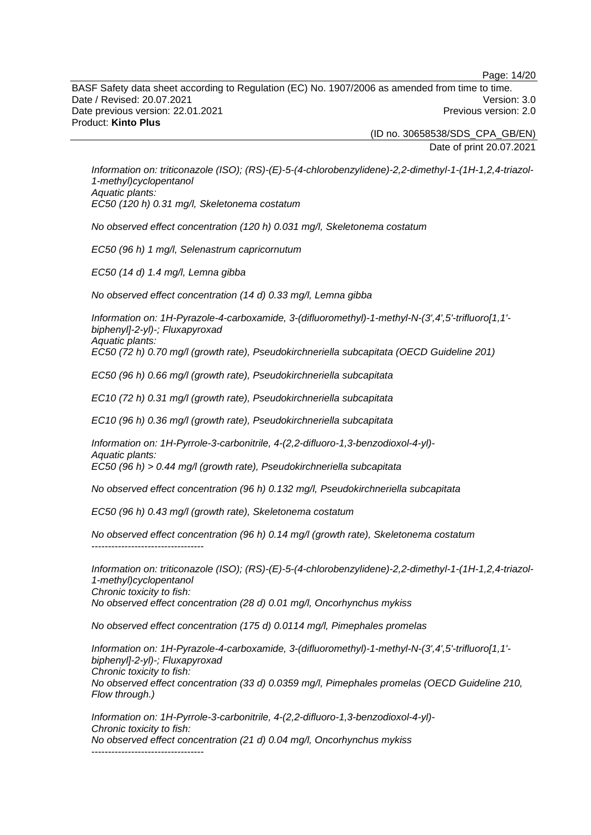Page: 14/20

BASF Safety data sheet according to Regulation (EC) No. 1907/2006 as amended from time to time. Date / Revised: 20.07.2021 Version: 3.0 Date previous version: 22.01.2021 **Previous version: 2.0** Previous version: 2.0 Product: **Kinto Plus** 

> (ID no. 30658538/SDS\_CPA\_GB/EN) Date of print 20.07.2021

*Information on: triticonazole (ISO); (RS)-(E)-5-(4-chlorobenzylidene)-2,2-dimethyl-1-(1H-1,2,4-triazol-1-methyl)cyclopentanol Aquatic plants: EC50 (120 h) 0.31 mg/l, Skeletonema costatum* 

*No observed effect concentration (120 h) 0.031 mg/l, Skeletonema costatum* 

*EC50 (96 h) 1 mg/l, Selenastrum capricornutum* 

*EC50 (14 d) 1.4 mg/l, Lemna gibba* 

*No observed effect concentration (14 d) 0.33 mg/l, Lemna gibba* 

*Information on: 1H-Pyrazole-4-carboxamide, 3-(difluoromethyl)-1-methyl-N-(3',4',5'-trifluoro[1,1' biphenyl]-2-yl)-; Fluxapyroxad Aquatic plants: EC50 (72 h) 0.70 mg/l (growth rate), Pseudokirchneriella subcapitata (OECD Guideline 201)* 

*EC50 (96 h) 0.66 mg/l (growth rate), Pseudokirchneriella subcapitata* 

*EC10 (72 h) 0.31 mg/l (growth rate), Pseudokirchneriella subcapitata* 

*EC10 (96 h) 0.36 mg/l (growth rate), Pseudokirchneriella subcapitata* 

*Information on: 1H-Pyrrole-3-carbonitrile, 4-(2,2-difluoro-1,3-benzodioxol-4-yl)- Aquatic plants: EC50 (96 h) > 0.44 mg/l (growth rate), Pseudokirchneriella subcapitata* 

*No observed effect concentration (96 h) 0.132 mg/l, Pseudokirchneriella subcapitata* 

*EC50 (96 h) 0.43 mg/l (growth rate), Skeletonema costatum* 

*No observed effect concentration (96 h) 0.14 mg/l (growth rate), Skeletonema costatum*  ----------------------------------

*Information on: triticonazole (ISO); (RS)-(E)-5-(4-chlorobenzylidene)-2,2-dimethyl-1-(1H-1,2,4-triazol-1-methyl)cyclopentanol Chronic toxicity to fish: No observed effect concentration (28 d) 0.01 mg/l, Oncorhynchus mykiss* 

*No observed effect concentration (175 d) 0.0114 mg/l, Pimephales promelas* 

*Information on: 1H-Pyrazole-4-carboxamide, 3-(difluoromethyl)-1-methyl-N-(3',4',5'-trifluoro[1,1' biphenyl]-2-yl)-; Fluxapyroxad Chronic toxicity to fish: No observed effect concentration (33 d) 0.0359 mg/l, Pimephales promelas (OECD Guideline 210, Flow through.)* 

*Information on: 1H-Pyrrole-3-carbonitrile, 4-(2,2-difluoro-1,3-benzodioxol-4-yl)- Chronic toxicity to fish: No observed effect concentration (21 d) 0.04 mg/l, Oncorhynchus mykiss*  ----------------------------------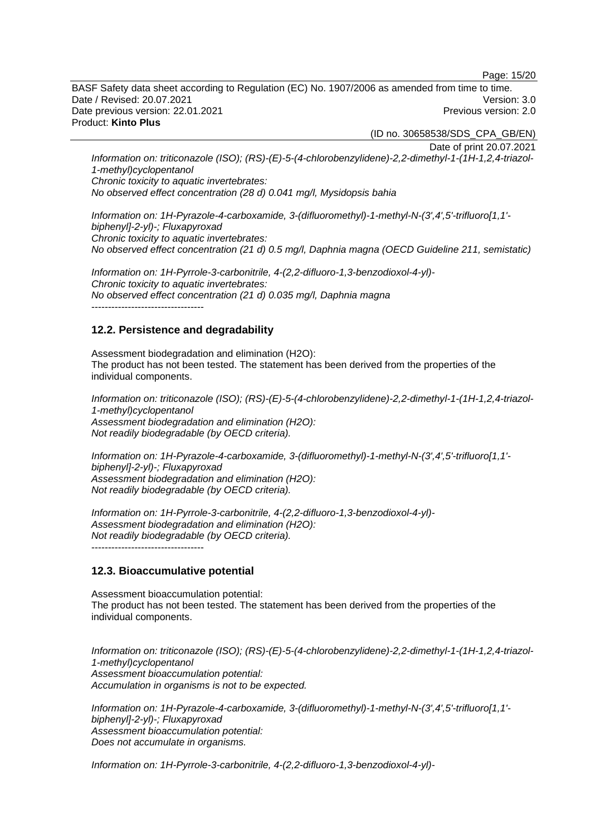Page: 15/20

BASF Safety data sheet according to Regulation (EC) No. 1907/2006 as amended from time to time. Date / Revised: 20.07.2021 Version: 3.0 Date previous version: 22.01.2021 **Previous version: 2.0** Previous version: 2.0 Product: **Kinto Plus** 

(ID no. 30658538/SDS\_CPA\_GB/EN)

Date of print 20.07.2021

*Information on: triticonazole (ISO); (RS)-(E)-5-(4-chlorobenzylidene)-2,2-dimethyl-1-(1H-1,2,4-triazol-1-methyl)cyclopentanol Chronic toxicity to aquatic invertebrates: No observed effect concentration (28 d) 0.041 mg/l, Mysidopsis bahia* 

*Information on: 1H-Pyrazole-4-carboxamide, 3-(difluoromethyl)-1-methyl-N-(3',4',5'-trifluoro[1,1' biphenyl]-2-yl)-; Fluxapyroxad Chronic toxicity to aquatic invertebrates: No observed effect concentration (21 d) 0.5 mg/l, Daphnia magna (OECD Guideline 211, semistatic)* 

*Information on: 1H-Pyrrole-3-carbonitrile, 4-(2,2-difluoro-1,3-benzodioxol-4-yl)- Chronic toxicity to aquatic invertebrates: No observed effect concentration (21 d) 0.035 mg/l, Daphnia magna*  ----------------------------------

### **12.2. Persistence and degradability**

Assessment biodegradation and elimination (H2O): The product has not been tested. The statement has been derived from the properties of the individual components.

*Information on: triticonazole (ISO); (RS)-(E)-5-(4-chlorobenzylidene)-2,2-dimethyl-1-(1H-1,2,4-triazol-1-methyl)cyclopentanol Assessment biodegradation and elimination (H2O): Not readily biodegradable (by OECD criteria).* 

*Information on: 1H-Pyrazole-4-carboxamide, 3-(difluoromethyl)-1-methyl-N-(3',4',5'-trifluoro[1,1' biphenyl]-2-yl)-; Fluxapyroxad Assessment biodegradation and elimination (H2O): Not readily biodegradable (by OECD criteria).* 

*Information on: 1H-Pyrrole-3-carbonitrile, 4-(2,2-difluoro-1,3-benzodioxol-4-yl)- Assessment biodegradation and elimination (H2O): Not readily biodegradable (by OECD criteria).*  ----------------------------------

### **12.3. Bioaccumulative potential**

Assessment bioaccumulation potential: The product has not been tested. The statement has been derived from the properties of the individual components.

*Information on: triticonazole (ISO); (RS)-(E)-5-(4-chlorobenzylidene)-2,2-dimethyl-1-(1H-1,2,4-triazol-1-methyl)cyclopentanol Assessment bioaccumulation potential: Accumulation in organisms is not to be expected.* 

*Information on: 1H-Pyrazole-4-carboxamide, 3-(difluoromethyl)-1-methyl-N-(3',4',5'-trifluoro[1,1' biphenyl]-2-yl)-; Fluxapyroxad Assessment bioaccumulation potential: Does not accumulate in organisms.* 

*Information on: 1H-Pyrrole-3-carbonitrile, 4-(2,2-difluoro-1,3-benzodioxol-4-yl)-*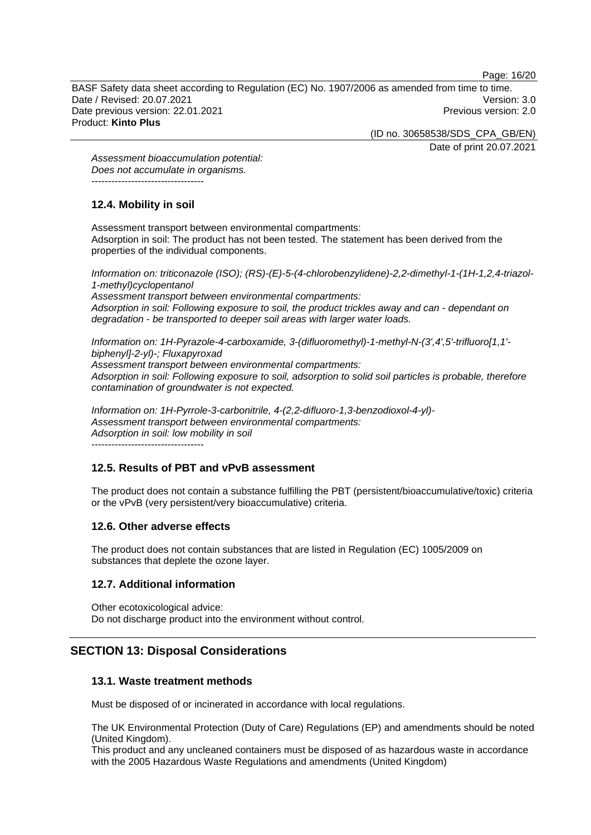Page: 16/20

BASF Safety data sheet according to Regulation (EC) No. 1907/2006 as amended from time to time. Date / Revised: 20.07.2021 Version: 3.0 Date previous version: 22.01.2021 **Previous version: 2.0** Previous version: 2.0 Product: **Kinto Plus** 

(ID no. 30658538/SDS\_CPA\_GB/EN)

Date of print 20.07.2021

*Assessment bioaccumulation potential: Does not accumulate in organisms.*  ----------------------------------

# **12.4. Mobility in soil**

Assessment transport between environmental compartments: Adsorption in soil: The product has not been tested. The statement has been derived from the properties of the individual components.

*Information on: triticonazole (ISO); (RS)-(E)-5-(4-chlorobenzylidene)-2,2-dimethyl-1-(1H-1,2,4-triazol-1-methyl)cyclopentanol* 

*Assessment transport between environmental compartments: Adsorption in soil: Following exposure to soil, the product trickles away and can - dependant on degradation - be transported to deeper soil areas with larger water loads.*

*Information on: 1H-Pyrazole-4-carboxamide, 3-(difluoromethyl)-1-methyl-N-(3',4',5'-trifluoro[1,1' biphenyl]-2-yl)-; Fluxapyroxad* 

*Assessment transport between environmental compartments:*

*Adsorption in soil: Following exposure to soil, adsorption to solid soil particles is probable, therefore contamination of groundwater is not expected.*

*Information on: 1H-Pyrrole-3-carbonitrile, 4-(2,2-difluoro-1,3-benzodioxol-4-yl)- Assessment transport between environmental compartments: Adsorption in soil: low mobility in soil*

----------------------------------

# **12.5. Results of PBT and vPvB assessment**

The product does not contain a substance fulfilling the PBT (persistent/bioaccumulative/toxic) criteria or the vPvB (very persistent/very bioaccumulative) criteria.

### **12.6. Other adverse effects**

The product does not contain substances that are listed in Regulation (EC) 1005/2009 on substances that deplete the ozone layer.

### **12.7. Additional information**

Other ecotoxicological advice: Do not discharge product into the environment without control.

# **SECTION 13: Disposal Considerations**

### **13.1. Waste treatment methods**

Must be disposed of or incinerated in accordance with local regulations.

The UK Environmental Protection (Duty of Care) Regulations (EP) and amendments should be noted (United Kingdom).

This product and any uncleaned containers must be disposed of as hazardous waste in accordance with the 2005 Hazardous Waste Regulations and amendments (United Kingdom)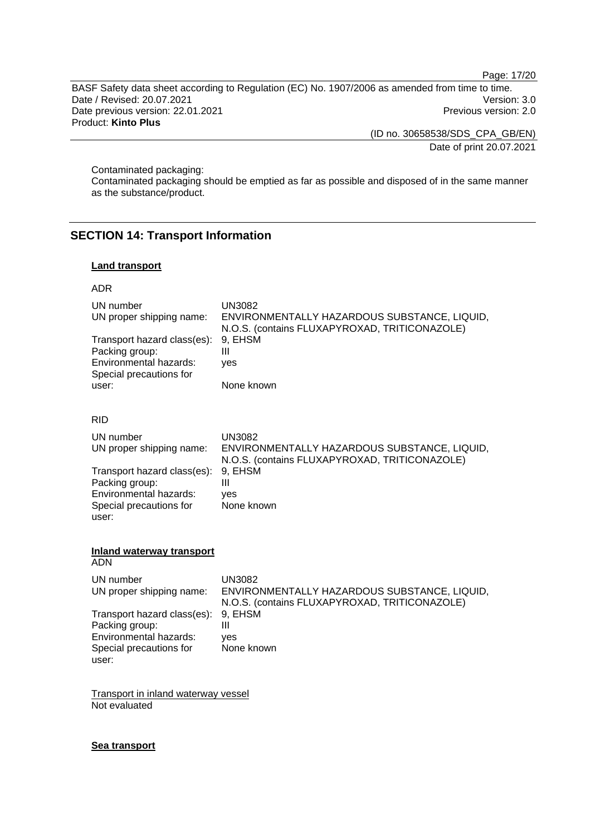Page: 17/20

BASF Safety data sheet according to Regulation (EC) No. 1907/2006 as amended from time to time. Date / Revised: 20.07.2021 Version: 3.0 Date previous version: 22.01.2021 Charles and the previous version: 2.0 Product: **Kinto Plus** 

(ID no. 30658538/SDS\_CPA\_GB/EN)

Date of print 20.07.2021

Contaminated packaging:

Contaminated packaging should be emptied as far as possible and disposed of in the same manner as the substance/product.

# **SECTION 14: Transport Information**

### **Land transport**

### ADR

| UN number<br>UN proper shipping name:<br>Transport hazard class(es):<br>Packing group:<br>Environmental hazards:<br>Special precautions for<br>user: | <b>UN3082</b><br>ENVIRONMENTALLY HAZARDOUS SUBSTANCE, LIQUID,<br>N.O.S. (contains FLUXAPYROXAD, TRITICONAZOLE)<br>9, EHSM<br>Ш<br>yes<br>None known |
|------------------------------------------------------------------------------------------------------------------------------------------------------|-----------------------------------------------------------------------------------------------------------------------------------------------------|
| <b>RID</b>                                                                                                                                           |                                                                                                                                                     |
| UN number<br>UN proper shipping name:                                                                                                                | <b>UN3082</b><br>ENVIRONMENTALLY HAZARDOUS SUBSTANCE, LIQUID,<br>N.O.S. (contains FLUXAPYROXAD, TRITICONAZOLE)                                      |
| Transport hazard class(es):<br>Packing group:<br>Environmental hazards:<br>Special precautions for<br>user:                                          | 9, EHSM<br>Ш<br>ves<br>None known                                                                                                                   |
| <b>Inland waterway transport</b><br><b>ADN</b>                                                                                                       |                                                                                                                                                     |
| UN number<br>UN proper shipping name:                                                                                                                | <b>UN3082</b><br>ENVIRONMENTALLY HAZARDOUS SUBSTANCE, LIQUID,<br>N.O.S. (contains FLUXAPYROXAD, TRITICONAZOLE)                                      |
| Transport hazard class(es):<br>Packing group:<br>Environmental hazards:<br>Special precautions for<br>user:                                          | 9, EHSM<br>Ш<br>ves<br>None known                                                                                                                   |
| Transport in inland waterway vessel                                                                                                                  |                                                                                                                                                     |

Not evaluated

# **Sea transport**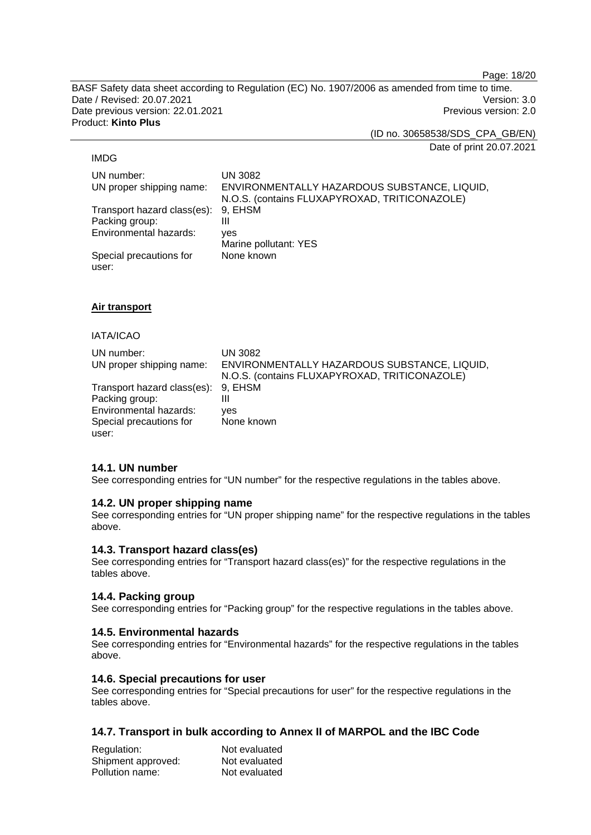Page: 18/20

BASF Safety data sheet according to Regulation (EC) No. 1907/2006 as amended from time to time. Date / Revised: 20.07.2021 Version: 3.0 Date previous version: 22.01.2021 **Date previous version: 2.0** Product: **Kinto Plus** 

(ID no. 30658538/SDS\_CPA\_GB/EN)

Date of print 20.07.2021

### IMDG

UN number: UN 3082 UN proper shipping name: ENVIRONMENTALLY HAZARDOUS SUBSTANCE, LIQUID, N.O.S. (contains FLUXAPYROXAD, TRITICONAZOLE) Transport hazard class(es): 9, EHSM Packing group: III Environmental hazards: yes Marine pollutant: YES Special precautions for user: None known

### **Air transport**

### IATA/ICAO

| UN number:<br>UN proper shipping name:                | UN 3082<br>ENVIRONMENTALLY HAZARDOUS SUBSTANCE, LIQUID,<br>N.O.S. (contains FLUXAPYROXAD, TRITICONAZOLE) |
|-------------------------------------------------------|----------------------------------------------------------------------------------------------------------|
| Transport hazard class(es): 9, EHSM<br>Packing group: | Ш                                                                                                        |
| Environmental hazards:                                | ves                                                                                                      |
| Special precautions for                               | None known                                                                                               |
| user:                                                 |                                                                                                          |

### **14.1. UN number**

See corresponding entries for "UN number" for the respective regulations in the tables above.

### **14.2. UN proper shipping name**

See corresponding entries for "UN proper shipping name" for the respective regulations in the tables above.

### **14.3. Transport hazard class(es)**

See corresponding entries for "Transport hazard class(es)" for the respective regulations in the tables above.

### **14.4. Packing group**

See corresponding entries for "Packing group" for the respective regulations in the tables above.

### **14.5. Environmental hazards**

See corresponding entries for "Environmental hazards" for the respective regulations in the tables above.

### **14.6. Special precautions for user**

See corresponding entries for "Special precautions for user" for the respective regulations in the tables above.

### **14.7. Transport in bulk according to Annex II of MARPOL and the IBC Code**

| Regulation:        | Not evaluated |
|--------------------|---------------|
| Shipment approved: | Not evaluated |
| Pollution name:    | Not evaluated |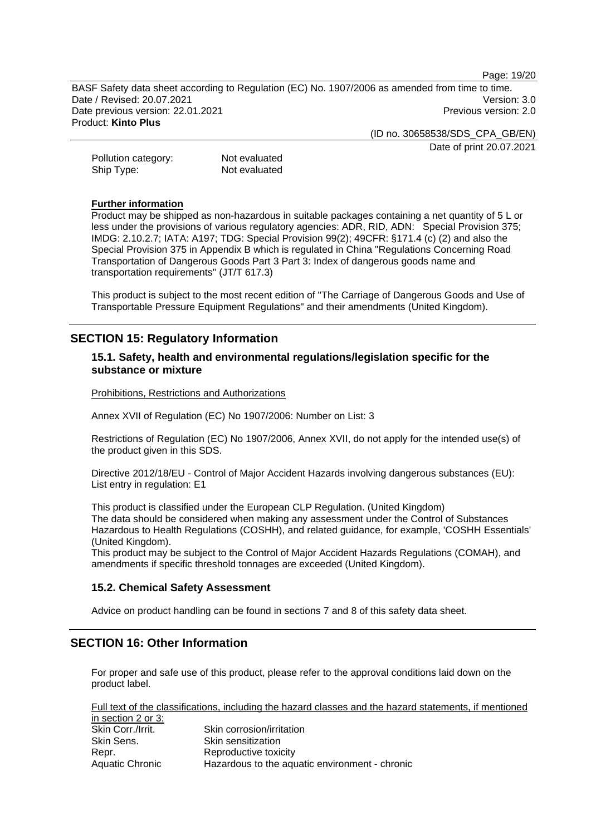Page: 19/20

BASF Safety data sheet according to Regulation (EC) No. 1907/2006 as amended from time to time. Date / Revised: 20.07.2021 Version: 3.0 Date previous version: 22.01.2021 **Date previous version: 2.0** Product: **Kinto Plus** 

(ID no. 30658538/SDS\_CPA\_GB/EN)

Date of print 20.07.2021

Pollution category: Not evaluated Ship Type: Not evaluated

### **Further information**

Product may be shipped as non-hazardous in suitable packages containing a net quantity of 5 L or less under the provisions of various regulatory agencies: ADR, RID, ADN: Special Provision 375; IMDG: 2.10.2.7; IATA: A197; TDG: Special Provision 99(2); 49CFR: §171.4 (c) (2) and also the Special Provision 375 in Appendix B which is regulated in China "Regulations Concerning Road Transportation of Dangerous Goods Part 3 Part 3: Index of dangerous goods name and transportation requirements" (JT/T 617.3)

This product is subject to the most recent edition of "The Carriage of Dangerous Goods and Use of Transportable Pressure Equipment Regulations" and their amendments (United Kingdom).

# **SECTION 15: Regulatory Information**

### **15.1. Safety, health and environmental regulations/legislation specific for the substance or mixture**

Prohibitions, Restrictions and Authorizations

Annex XVII of Regulation (EC) No 1907/2006: Number on List: 3

Restrictions of Regulation (EC) No 1907/2006, Annex XVII, do not apply for the intended use(s) of the product given in this SDS.

Directive 2012/18/EU - Control of Major Accident Hazards involving dangerous substances (EU): List entry in regulation: E1

This product is classified under the European CLP Regulation. (United Kingdom) The data should be considered when making any assessment under the Control of Substances Hazardous to Health Regulations (COSHH), and related guidance, for example, 'COSHH Essentials' (United Kingdom).

This product may be subject to the Control of Major Accident Hazards Regulations (COMAH), and amendments if specific threshold tonnages are exceeded (United Kingdom).

### **15.2. Chemical Safety Assessment**

Advice on product handling can be found in sections 7 and 8 of this safety data sheet.

# **SECTION 16: Other Information**

For proper and safe use of this product, please refer to the approval conditions laid down on the product label.

Full text of the classifications, including the hazard classes and the hazard statements, if mentioned in cootion  $2$  or  $2$ :

| ט וט בעווטוו ב טו ט. |                                                |
|----------------------|------------------------------------------------|
| Skin Corr./Irrit.    | Skin corrosion/irritation                      |
| Skin Sens.           | Skin sensitization                             |
| Repr.                | Reproductive toxicity                          |
| Aquatic Chronic      | Hazardous to the aquatic environment - chronic |
|                      |                                                |